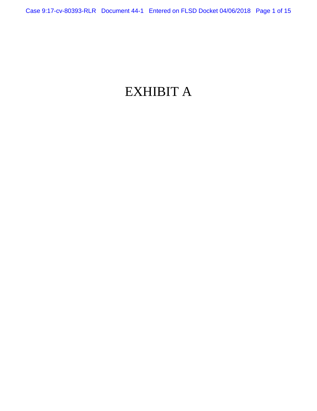# EXHIBIT A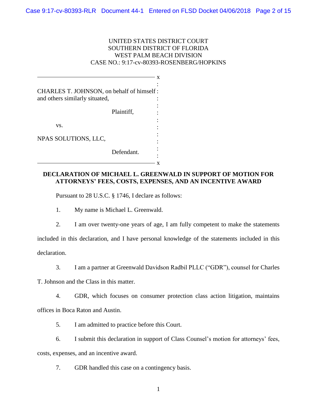# UNITED STATES DISTRICT COURT SOUTHERN DISTRICT OF FLORIDA WEST PALM BEACH DIVISION CASE NO.: 9:17-cv-80393-ROSENBERG/HOPKINS

| CHARLES T. JOHNSON, on behalf of himself: |            |  |
|-------------------------------------------|------------|--|
| and others similarly situated,            |            |  |
|                                           | Plaintiff, |  |
| VS.                                       |            |  |
| NPAS SOLUTIONS, LLC,                      |            |  |
|                                           | Defendant. |  |

# **DECLARATION OF MICHAEL L. GREENWALD IN SUPPORT OF MOTION FOR ATTORNEYS' FEES, COSTS, EXPENSES, AND AN INCENTIVE AWARD**

Pursuant to 28 U.S.C. § 1746, I declare as follows:

1. My name is Michael L. Greenwald.

2. I am over twenty-one years of age, I am fully competent to make the statements

included in this declaration, and I have personal knowledge of the statements included in this declaration.

3. I am a partner at Greenwald Davidson Radbil PLLC ("GDR"), counsel for Charles

T. Johnson and the Class in this matter.

4. GDR, which focuses on consumer protection class action litigation, maintains offices in Boca Raton and Austin.

5. I am admitted to practice before this Court.

6. I submit this declaration in support of Class Counsel's motion for attorneys' fees,

costs, expenses, and an incentive award.

7. GDR handled this case on a contingency basis.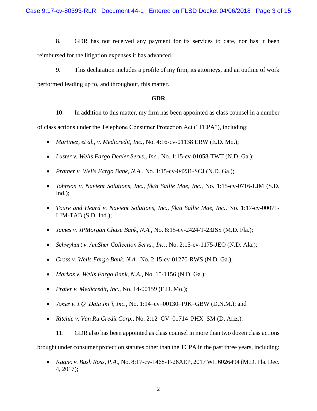8. GDR has not received any payment for its services to date, nor has it been reimbursed for the litigation expenses it has advanced.

9. This declaration includes a profile of my firm, its attorneys, and an outline of work performed leading up to, and throughout, this matter.

## **GDR**

10. In addition to this matter, my firm has been appointed as class counsel in a number of class actions under the Telephone Consumer Protection Act ("TCPA"), including:

- *Martinez, et al., v. Medicredit, Inc.*, No. 4:16-cv-01138 ERW (E.D. Mo.);
- *Luster v. Wells Fargo Dealer Servs., Inc.*, No. 1:15-cv-01058-TWT (N.D. Ga.);
- *Prather v. Wells Fargo Bank, N.A.*, No. 1:15-cv-04231-SCJ (N.D. Ga.);
- *Johnson v. Navient Solutions, Inc., f/k/a Sallie Mae, Inc.*, No. 1:15-cv-0716-LJM (S.D.  $Ind.$ );
- *Toure and Heard v. Navient Solutions, Inc., f/k/a Sallie Mae, Inc.*, No. 1:17-cv-00071- LJM-TAB (S.D. Ind.);
- *James v. JPMorgan Chase Bank, N.A.*, No. 8:15-cv-2424-T-23JSS (M.D. Fla.);
- *Schwyhart v. AmSher Collection Servs., Inc.*, No. 2:15-cv-1175-JEO (N.D. Ala.);
- *Cross v. Wells Fargo Bank, N.A.*, No. 2:15-cv-01270-RWS (N.D. Ga.);
- *Markos v. Wells Fargo Bank, N.A.*, No. 15-1156 (N.D. Ga.);
- *Prater v. Medicredit, Inc.*, No. 14-00159 (E.D. Mo.);
- *Jones v. I.Q. Data Int'l, Inc.,* No. 1:14–cv–00130–PJK–GBW (D.N.M.); and
- *Ritchie v. Van Ru Credit Corp.,* No. 2:12–CV–01714–PHX–SM (D. Ariz.).

11. GDR also has been appointed as class counsel in more than two dozen class actions brought under consumer protection statutes other than the TCPA in the past three years, including:

• *Kagno v. Bush Ross, P.A.*, No. 8:17-cv-1468-T-26AEP, 2017 WL 6026494 (M.D. Fla. Dec. 4, 2017);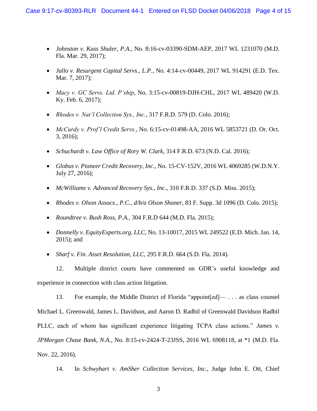- *Johnston v. Kass Shuler, P.A.*, No. 8:16-cv-03390-SDM-AEP, 2017 WL 1231070 (M.D. Fla. Mar. 29, 2017);
- *Jallo v. Resurgent Capital Servs., L.P.*, No. 4:14-cv-00449, 2017 WL 914291 (E.D. Tex. Mar. 7, 2017);
- *Macy v. GC Servs. Ltd. P'ship*, No. 3:15-cv-00819-DJH-CHL, 2017 WL 489420 (W.D. Ky. Feb. 6, 2017);
- *Rhodes v. Nat'l Collection Sys., Inc.*, 317 F.R.D. 579 (D. Colo. 2016);
- *McCurdy v. Prof'l Credit Servs.*, No. 6:15-cv-01498-AA, 2016 WL 5853721 (D. Or. Oct. 3, 2016);
- *Schuchardt v. Law Office of Rory W. Clark*, 314 F.R.D. 673 (N.D. Cal. 2016);
- *Globus v. Pioneer Credit Recovery, Inc.*, No. 15-CV-152V, 2016 WL 4069285 (W.D.N.Y. July 27, 2016);
- *McWilliams v. Advanced Recovery Sys., Inc.*, 310 F.R.D. 337 (S.D. Miss. 2015);
- *Rhodes v. Olson Assocs., P.C., d/b/a Olson Shaner*, 83 F. Supp. 3d 1096 (D. Colo. 2015);
- *Roundtree v. Bush Ross, P.A.*, 304 F.R.D 644 (M.D. Fla. 2015);
- *Donnelly v. EquityExperts.org, LLC*, No. 13-10017, 2015 WL 249522 (E.D. Mich. Jan. 14, 2015); and
- *Sharf v. Fin. Asset Resolution, LLC*, 295 F.R.D. 664 (S.D. Fla. 2014).

12. Multiple district courts have commented on GDR's useful knowledge and experience in connection with class action litigation.

13. For example, the Middle District of Florida "appoint[ed]— . . . as class counsel Michael L. Greenwald, James L. Davidson, and Aaron D. Radbil of Greenwald Davidson Radbil PLLC, each of whom has significant experience litigating TCPA class actions." *James v. JPMorgan Chase Bank, N.A.*, No. 8:15-cv-2424-T-23JSS, 2016 WL 6908118, at \*1 (M.D. Fla. Nov. 22, 2016).

14. In *Schwyhart v. AmSher Collection Services, Inc.*, Judge John E. Ott, Chief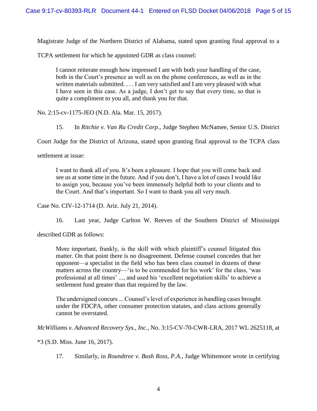Magistrate Judge of the Northern District of Alabama, stated upon granting final approval to a

TCPA settlement for which he appointed GDR as class counsel:

I cannot reiterate enough how impressed I am with both your handling of the case, both in the Court's presence as well as on the phone conferences, as well as in the written materials submitted. . . . I am very satisfied and I am very pleased with what I have seen in this case. As a judge, I don't get to say that every time, so that is quite a compliment to you all, and thank you for that.

No. 2:15-cv-1175-JEO (N.D. Ala. Mar. 15, 2017).

15. In *Ritchie v. Van Ru Credit Corp.*, Judge Stephen McNamee, Senior U.S. District

Court Judge for the District of Arizona, stated upon granting final approval to the TCPA class

settlement at issue:

I want to thank all of you. It's been a pleasure. I hope that you will come back and see us at some time in the future. And if you don't, I have a lot of cases I would like to assign you, because you've been immensely helpful both to your clients and to the Court. And that's important. So I want to thank you all very much.

Case No. CIV-12-1714 (D. Ariz. July 21, 2014).

16. Last year, Judge Carlton W. Reeves of the Southern District of Mississippi

described GDR as follows:

More important, frankly, is the skill with which plaintiff's counsel litigated this matter. On that point there is no disagreement. Defense counsel concedes that her opponent—a specialist in the field who has been class counsel in dozens of these matters across the country—'is to be commended for his work' for the class, 'was professional at all times' ..., and used his 'excellent negotiation skills' to achieve a settlement fund greater than that required by the law.

The undersigned concurs ... Counsel's level of experience in handling cases brought under the FDCPA, other consumer protection statutes, and class actions generally cannot be overstated.

*McWilliams v. Advanced Recovery Sys., Inc.*, No. 3:15-CV-70-CWR-LRA, 2017 WL 2625118, at

\*3 (S.D. Miss. June 16, 2017).

17. Similarly, in *Roundtree v. Bush Ross, P.A.*, Judge Whittemore wrote in certifying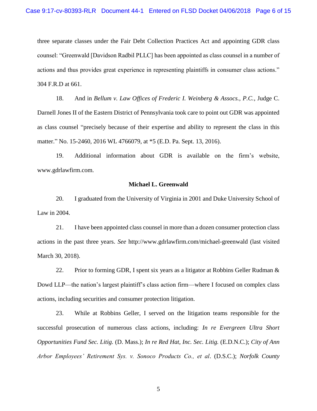three separate classes under the Fair Debt Collection Practices Act and appointing GDR class counsel: "Greenwald [Davidson Radbil PLLC] has been appointed as class counsel in a number of actions and thus provides great experience in representing plaintiffs in consumer class actions." 304 F.R.D at 661.

18. And in *Bellum v. Law Offices of Frederic I. Weinberg & Assocs., P.C.*, Judge C. Darnell Jones II of the Eastern District of Pennsylvania took care to point out GDR was appointed as class counsel "precisely because of their expertise and ability to represent the class in this matter." No. 15-2460, 2016 WL 4766079, at \*5 (E.D. Pa. Sept. 13, 2016).

19. Additional information about GDR is available on the firm's website, www.gdrlawfirm.com.

## **Michael L. Greenwald**

20. I graduated from the University of Virginia in 2001 and Duke University School of Law in 2004.

21. I have been appointed class counsel in more than a dozen consumer protection class actions in the past three years. *See* http://www.gdrlawfirm.com/michael-greenwald (last visited March 30, 2018).

22. Prior to forming GDR, I spent six years as a litigator at Robbins Geller Rudman  $\&$ Dowd LLP—the nation's largest plaintiff's class action firm—where I focused on complex class actions, including securities and consumer protection litigation.

23. While at Robbins Geller, I served on the litigation teams responsible for the successful prosecution of numerous class actions, including: *In re Evergreen Ultra Short Opportunities Fund Sec. Litig.* (D. Mass.); *In re Red Hat, Inc. Sec. Litig.* (E.D.N.C.); *City of Ann Arbor Employees' Retirement Sys. v. Sonoco Products Co., et al*. (D.S.C.); *Norfolk County*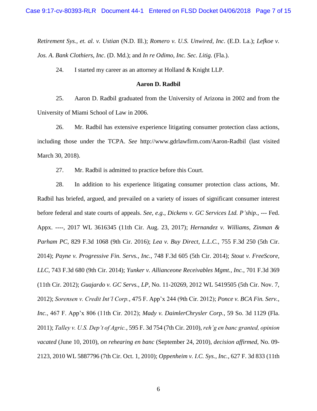*Retirement Sys., et. al. v. Ustian* (N.D. Ill.); *Romero v. U.S. Unwired, Inc*. (E.D. La.); *Lefkoe v. Jos. A. Bank Clothiers, Inc*. (D. Md.); and *In re Odimo, Inc. Sec. Litig.* (Fla.).

24. I started my career as an attorney at Holland & Knight LLP.

## **Aaron D. Radbil**

25. Aaron D. Radbil graduated from the University of Arizona in 2002 and from the University of Miami School of Law in 2006.

26. Mr. Radbil has extensive experience litigating consumer protection class actions, including those under the TCPA. *See* http://www.gdrlawfirm.com/Aaron-Radbil (last visited March 30, 2018).

27. Mr. Radbil is admitted to practice before this Court.

28. In addition to his experience litigating consumer protection class actions, Mr. Radbil has briefed, argued, and prevailed on a variety of issues of significant consumer interest before federal and state courts of appeals. *See, e.g.*, *Dickens v. GC Services Ltd. P'ship.*, --- Fed. Appx. ----*,* 2017 WL 3616345 (11th Cir. Aug. 23, 2017); *Hernandez v. Williams, Zinman & Parham PC*, 829 F.3d 1068 (9th Cir. 2016); *Lea v. Buy Direct, L.L.C.*, 755 F.3d 250 (5th Cir. 2014); *Payne v. Progressive Fin. Servs., Inc.*, 748 F.3d 605 (5th Cir. 2014); *Stout v. FreeScore, LLC*, 743 F.3d 680 (9th Cir. 2014); *Yunker v. Allianceone Receivables Mgmt., Inc.*, 701 F.3d 369 (11th Cir. 2012); *Guajardo v. GC Servs., LP*, No. 11-20269, 2012 WL 5419505 (5th Cir. Nov. 7, 2012); *Sorensen v. Credit Int'l Corp.*, 475 F. App'x 244 (9th Cir. 2012); *Ponce v. BCA Fin. Serv., Inc.*, 467 F. App'x 806 (11th Cir. 2012); *Mady v. DaimlerChrysler Corp.*, 59 So. 3d 1129 (Fla. 2011); *Talley v. U.S. Dep't of Agric.*, 595 F. 3d 754 (7th Cir. 2010), *reh'g en banc granted, opinion vacated* (June 10, 2010), *on rehearing en banc* (September 24, 2010), *decision affirmed*, No. 09- 2123, 2010 WL 5887796 (7th Cir. Oct. 1, 2010); *Oppenheim v. I.C. Sys., Inc.*, 627 F. 3d 833 (11th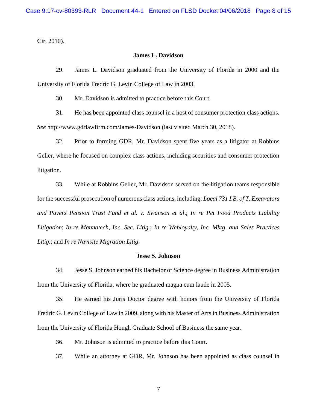Cir. 2010).

# **James L. Davidson**

29. James L. Davidson graduated from the University of Florida in 2000 and the University of Florida Fredric G. Levin College of Law in 2003.

30. Mr. Davidson is admitted to practice before this Court.

31. He has been appointed class counsel in a host of consumer protection class actions. *See* http://www.gdrlawfirm.com/James-Davidson (last visited March 30, 2018).

32. Prior to forming GDR, Mr. Davidson spent five years as a litigator at Robbins Geller, where he focused on complex class actions, including securities and consumer protection litigation.

33. While at Robbins Geller, Mr. Davidson served on the litigation teams responsible for the successful prosecution of numerous class actions, including: *Local 731 I.B. of T. Excavators and Pavers Pension Trust Fund et al. v. Swanson et al*.; *In re Pet Food Products Liability Litigation*; *In re Mannatech, Inc. Sec. Litig.*; *In re Webloyalty, Inc. Mktg. and Sales Practices Litig.*; and *In re Navisite Migration Litig*.

## **Jesse S. Johnson**

34. Jesse S. Johnson earned his Bachelor of Science degree in Business Administration from the University of Florida, where he graduated magna cum laude in 2005.

35. He earned his Juris Doctor degree with honors from the University of Florida Fredric G. Levin College of Law in 2009, along with his Master of Arts in Business Administration from the University of Florida Hough Graduate School of Business the same year.

36. Mr. Johnson is admitted to practice before this Court.

37. While an attorney at GDR, Mr. Johnson has been appointed as class counsel in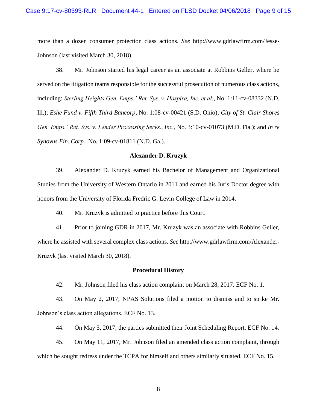more than a dozen consumer protection class actions. *See* http://www.gdrlawfirm.com/Jesse-Johnson (last visited March 30, 2018).

38. Mr. Johnson started his legal career as an associate at Robbins Geller, where he served on the litigation teams responsible for the successful prosecution of numerous class actions, including: *Sterling Heights Gen. Emps.' Ret. Sys. v. Hospira, Inc. et al.*, No. 1:11-cv-08332 (N.D. Ill.); *Eshe Fund v. Fifth Third Bancorp*, No. 1:08-cv-00421 (S.D. Ohio); *City of St. Clair Shores Gen. Emps.' Ret. Sys. v. Lender Processing Servs., Inc.*, No. 3:10-cv-01073 (M.D. Fla.); and *In re Synovus Fin. Corp.*, No. 1:09-cv-01811 (N.D. Ga.).

#### **Alexander D. Kruzyk**

39. Alexander D. Kruzyk earned his Bachelor of Management and Organizational Studies from the University of Western Ontario in 2011 and earned his Juris Doctor degree with honors from the University of Florida Fredric G. Levin College of Law in 2014.

40. Mr. Kruzyk is admitted to practice before this Court.

41. Prior to joining GDR in 2017, Mr. Kruzyk was an associate with Robbins Geller, where he assisted with several complex class actions. *See* http://www.gdrlawfirm.com/Alexander-Kruzyk (last visited March 30, 2018).

#### **Procedural History**

42. Mr. Johnson filed his class action complaint on March 28, 2017. ECF No. 1.

43. On May 2, 2017, NPAS Solutions filed a motion to dismiss and to strike Mr. Johnson's class action allegations. ECF No. 13.

44. On May 5, 2017, the parties submitted their Joint Scheduling Report. ECF No. 14.

45. On May 11, 2017, Mr. Johnson filed an amended class action complaint, through which he sought redress under the TCPA for himself and others similarly situated. ECF No. 15.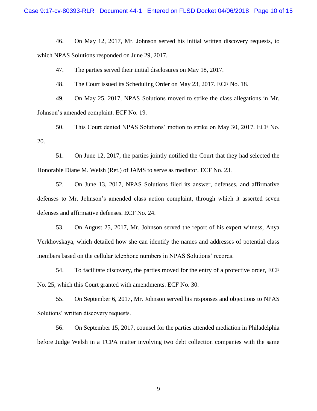46. On May 12, 2017, Mr. Johnson served his initial written discovery requests, to which NPAS Solutions responded on June 29, 2017.

47. The parties served their initial disclosures on May 18, 2017.

48. The Court issued its Scheduling Order on May 23, 2017. ECF No. 18.

49. On May 25, 2017, NPAS Solutions moved to strike the class allegations in Mr. Johnson's amended complaint. ECF No. 19.

50. This Court denied NPAS Solutions' motion to strike on May 30, 2017. ECF No. 20.

51. On June 12, 2017, the parties jointly notified the Court that they had selected the Honorable Diane M. Welsh (Ret.) of JAMS to serve as mediator. ECF No. 23.

52. On June 13, 2017, NPAS Solutions filed its answer, defenses, and affirmative defenses to Mr. Johnson's amended class action complaint, through which it asserted seven defenses and affirmative defenses. ECF No. 24.

53. On August 25, 2017, Mr. Johnson served the report of his expert witness, Anya Verkhovskaya, which detailed how she can identify the names and addresses of potential class members based on the cellular telephone numbers in NPAS Solutions' records.

54. To facilitate discovery, the parties moved for the entry of a protective order, ECF No. 25, which this Court granted with amendments. ECF No. 30.

55. On September 6, 2017, Mr. Johnson served his responses and objections to NPAS Solutions' written discovery requests.

56. On September 15, 2017, counsel for the parties attended mediation in Philadelphia before Judge Welsh in a TCPA matter involving two debt collection companies with the same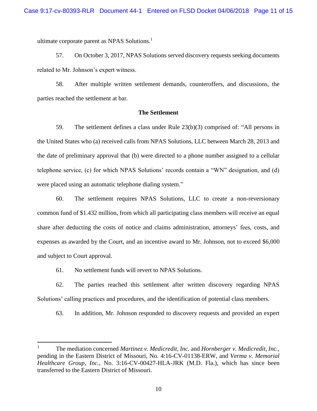ultimate corporate parent as NPAS Solutions.<sup>1</sup>

57. On October 3, 2017, NPAS Solutions served discovery requests seeking documents related to Mr. Johnson's expert witness.

58. After multiple written settlement demands, counteroffers, and discussions, the parties reached the settlement at bar.

## **The Settlement**

59. The settlement defines a class under Rule 23(b)(3) comprised of: "All persons in the United States who (a) received calls from NPAS Solutions, LLC between March 28, 2013 and the date of preliminary approval that (b) were directed to a phone number assigned to a cellular telephone service, (c) for which NPAS Solutions' records contain a "WN" designation, and (d) were placed using an automatic telephone dialing system."

60. The settlement requires NPAS Solutions, LLC to create a non-reversionary common fund of \$1.432 million, from which all participating class members will receive an equal share after deducting the costs of notice and claims administration, attorneys' fees, costs, and expenses as awarded by the Court, and an incentive award to Mr. Johnson, not to exceed \$6,000 and subject to Court approval.

61. No settlement funds will revert to NPAS Solutions.

l

62. The parties reached this settlement after written discovery regarding NPAS Solutions' calling practices and procedures, and the identification of potential class members.

63. In addition, Mr. Johnson responded to discovery requests and provided an expert

<sup>1</sup> The mediation concerned *Martinez v. Medicredit, Inc.* and *Hornberger v. Medicredit, Inc.*, pending in the Eastern District of Missouri, No. 4:16-CV-01138-ERW, and *Verma v. Memorial Healthcare Group, Inc.*, No. 3:16-CV-00427-HLA-JRK (M.D. Fla.), which has since been transferred to the Eastern District of Missouri.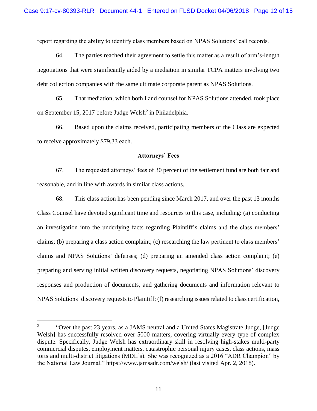report regarding the ability to identify class members based on NPAS Solutions' call records.

64. The parties reached their agreement to settle this matter as a result of arm's-length negotiations that were significantly aided by a mediation in similar TCPA matters involving two debt collection companies with the same ultimate corporate parent as NPAS Solutions.

65. That mediation, which both I and counsel for NPAS Solutions attended, took place on September 15, 2017 before Judge Welsh<sup>2</sup> in Philadelphia.

66. Based upon the claims received, participating members of the Class are expected to receive approximately \$79.33 each.

#### **Attorneys' Fees**

67. The requested attorneys' fees of 30 percent of the settlement fund are both fair and reasonable, and in line with awards in similar class actions.

68. This class action has been pending since March 2017, and over the past 13 months Class Counsel have devoted significant time and resources to this case, including: (a) conducting an investigation into the underlying facts regarding Plaintiff's claims and the class members' claims; (b) preparing a class action complaint; (c) researching the law pertinent to class members' claims and NPAS Solutions' defenses; (d) preparing an amended class action complaint; (e) preparing and serving initial written discovery requests, negotiating NPAS Solutions' discovery responses and production of documents, and gathering documents and information relevant to NPAS Solutions' discovery requests to Plaintiff; (f) researching issues related to class certification,

 $\overline{a}$ 

<sup>2</sup> "Over the past 23 years, as a JAMS neutral and a United States Magistrate Judge, [Judge Welsh] has successfully resolved over 5000 matters, covering virtually every type of complex dispute. Specifically, Judge Welsh has extraordinary skill in resolving high-stakes multi-party commercial disputes, employment matters, catastrophic personal injury cases, class actions, mass torts and multi-district litigations (MDL's). She was recognized as a 2016 "ADR Champion" by the National Law Journal." https://www.jamsadr.com/welsh/ (last visited Apr. 2, 2018).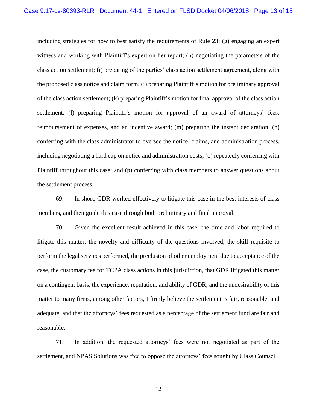including strategies for how to best satisfy the requirements of Rule 23; (g) engaging an expert witness and working with Plaintiff's expert on her report; (h) negotiating the parameters of the class action settlement; (i) preparing of the parties' class action settlement agreement, along with the proposed class notice and claim form; (j) preparing Plaintiff's motion for preliminary approval of the class action settlement; (k) preparing Plaintiff's motion for final approval of the class action settlement; (l) preparing Plaintiff's motion for approval of an award of attorneys' fees, reimbursement of expenses, and an incentive award; (m) preparing the instant declaration; (n) conferring with the class administrator to oversee the notice, claims, and administration process, including negotiating a hard cap on notice and administration costs; (o) repeatedly conferring with Plaintiff throughout this case; and (p) conferring with class members to answer questions about the settlement process.

69. In short, GDR worked effectively to litigate this case in the best interests of class members, and then guide this case through both preliminary and final approval.

70. Given the excellent result achieved in this case, the time and labor required to litigate this matter, the novelty and difficulty of the questions involved, the skill requisite to perform the legal services performed, the preclusion of other employment due to acceptance of the case, the customary fee for TCPA class actions in this jurisdiction, that GDR litigated this matter on a contingent basis, the experience, reputation, and ability of GDR, and the undesirability of this matter to many firms, among other factors, I firmly believe the settlement is fair, reasonable, and adequate, and that the attorneys' fees requested as a percentage of the settlement fund are fair and reasonable.

71. In addition, the requested attorneys' fees were not negotiated as part of the settlement, and NPAS Solutions was free to oppose the attorneys' fees sought by Class Counsel.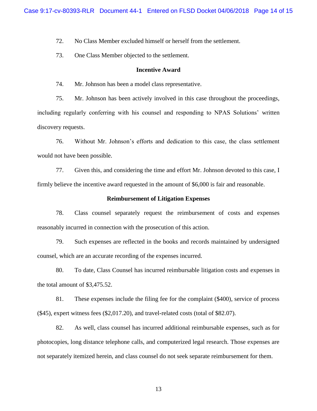72. No Class Member excluded himself or herself from the settlement.

73. One Class Member objected to the settlement.

#### **Incentive Award**

74. Mr. Johnson has been a model class representative.

75. Mr. Johnson has been actively involved in this case throughout the proceedings, including regularly conferring with his counsel and responding to NPAS Solutions' written discovery requests.

76. Without Mr. Johnson's efforts and dedication to this case, the class settlement would not have been possible.

77. Given this, and considering the time and effort Mr. Johnson devoted to this case, I firmly believe the incentive award requested in the amount of \$6,000 is fair and reasonable.

#### **Reimbursement of Litigation Expenses**

78. Class counsel separately request the reimbursement of costs and expenses reasonably incurred in connection with the prosecution of this action.

79. Such expenses are reflected in the books and records maintained by undersigned counsel, which are an accurate recording of the expenses incurred.

80. To date, Class Counsel has incurred reimbursable litigation costs and expenses in the total amount of \$3,475.52.

81. These expenses include the filing fee for the complaint (\$400), service of process (\$45), expert witness fees (\$2,017.20), and travel-related costs (total of \$82.07).

82. As well, class counsel has incurred additional reimbursable expenses, such as for photocopies, long distance telephone calls, and computerized legal research. Those expenses are not separately itemized herein, and class counsel do not seek separate reimbursement for them.